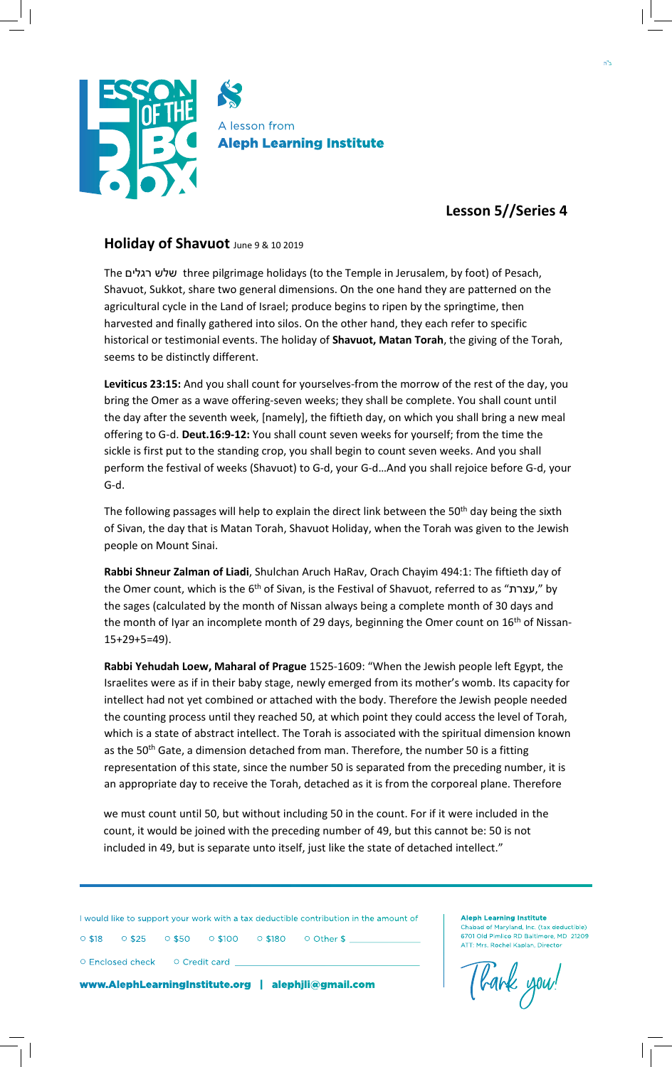

## **Lesson 5//Series 4**

## **Holiday of Shavuot** June 9 & 10 <sup>2019</sup>

The רגלים שלש three pilgrimage holidays (to the Temple in Jerusalem, by foot) of Pesach, Shavuot, Sukkot, share two general dimensions. On the one hand they are patterned on the agricultural cycle in the Land of Israel; produce begins to ripen by the springtime, then harvested and finally gathered into silos. On the other hand, they each refer to specific historical or testimonial events. The holiday of **Shavuot, Matan Torah**, the giving of the Torah, seems to be distinctly different.

**Leviticus 23:15:** And you shall count for yourselves-from the morrow of the rest of the day, you bring the Omer as a wave offering-seven weeks; they shall be complete. You shall count until the day after the seventh week, [namely], the fiftieth day, on which you shall bring a new meal offering to G-d. **Deut.16:9-12:** You shall count seven weeks for yourself; from the time the sickle is first put to the standing crop, you shall begin to count seven weeks. And you shall perform the festival of weeks (Shavuot) to G-d, your G-d…And you shall rejoice before G-d, your G-d.

The following passages will help to explain the direct link between the 50<sup>th</sup> day being the sixth of Sivan, the day that is Matan Torah, Shavuot Holiday, when the Torah was given to the Jewish people on Mount Sinai.

**Rabbi Shneur Zalman of Liadi**, Shulchan Aruch HaRav, Orach Chayim 494:1: The fiftieth day of the Omer count, which is the 6<sup>th</sup> of Sivan, is the Festival of Shavuot, referred to as "עצרת," by the sages (calculated by the month of Nissan always being a complete month of 30 days and the month of Iyar an incomplete month of 29 days, beginning the Omer count on 16<sup>th</sup> of Nissan-15+29+5=49).

**Rabbi Yehudah Loew, Maharal of Prague** 1525-1609: "When the Jewish people left Egypt, the Israelites were as if in their baby stage, newly emerged from its mother's womb. Its capacity for intellect had not yet combined or attached with the body. Therefore the Jewish people needed the counting process until they reached 50, at which point they could access the level of Torah, which is a state of abstract intellect. The Torah is associated with the spiritual dimension known as the 50<sup>th</sup> Gate, a dimension detached from man. Therefore, the number 50 is a fitting representation of this state, since the number 50 is separated from the preceding number, it is an appropriate day to receive the Torah, detached as it is from the corporeal plane. Therefore

we must count until 50, but without including 50 in the count. For if it were included in the count, it would be joined with the preceding number of 49, but this cannot be: 50 is not included in 49, but is separate unto itself, just like the state of detached intellect."

I would like to support your work with a tax deductible contribution in the amount of

○ \$18 ○ \$25 ○ \$50 ○ \$100 ○ \$180 ○ Other \$

○ Enclosed check ○ Credit card

www.AlephLearningInstitute.org | alephjli@gmail.com



**Aleph Learning Institute**

oad of Maryland, Inc. (tax deductible) 6701 Old Pimlico RD Baltimore, MD 21209 ATT: Mrs. Rochel Kaplan, Director